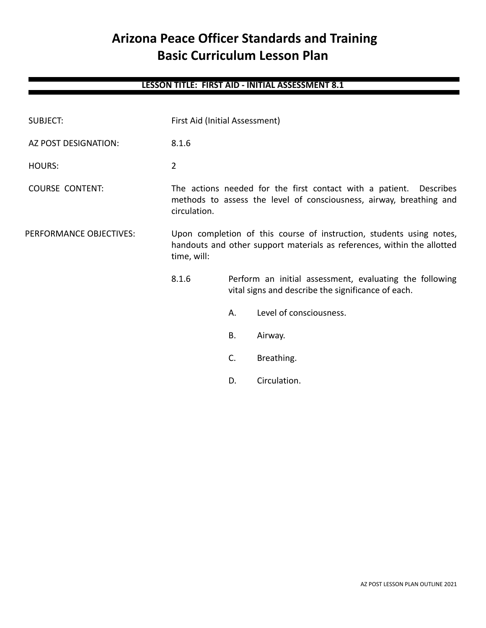# **Arizona Peace Officer Standards and Training Basic Curriculum Lesson Plan**

# **LESSON TITLE: FIRST AID - INITIAL ASSESSMENT 8.1**

| <b>SUBJECT:</b>         | First Aid (Initial Assessment)                                                                                                                                 |    |                                                                                                               |
|-------------------------|----------------------------------------------------------------------------------------------------------------------------------------------------------------|----|---------------------------------------------------------------------------------------------------------------|
| AZ POST DESIGNATION:    | 8.1.6                                                                                                                                                          |    |                                                                                                               |
| <b>HOURS:</b>           | $\overline{2}$                                                                                                                                                 |    |                                                                                                               |
| <b>COURSE CONTENT:</b>  | The actions needed for the first contact with a patient. Describes<br>methods to assess the level of consciousness, airway, breathing and<br>circulation.      |    |                                                                                                               |
| PERFORMANCE OBJECTIVES: | Upon completion of this course of instruction, students using notes,<br>handouts and other support materials as references, within the allotted<br>time, will: |    |                                                                                                               |
|                         | 8.1.6                                                                                                                                                          |    | Perform an initial assessment, evaluating the following<br>vital signs and describe the significance of each. |
|                         |                                                                                                                                                                | А. | Level of consciousness.                                                                                       |
|                         |                                                                                                                                                                | В. | Airway.                                                                                                       |
|                         |                                                                                                                                                                | C. | Breathing.                                                                                                    |
|                         |                                                                                                                                                                | D. | Circulation.                                                                                                  |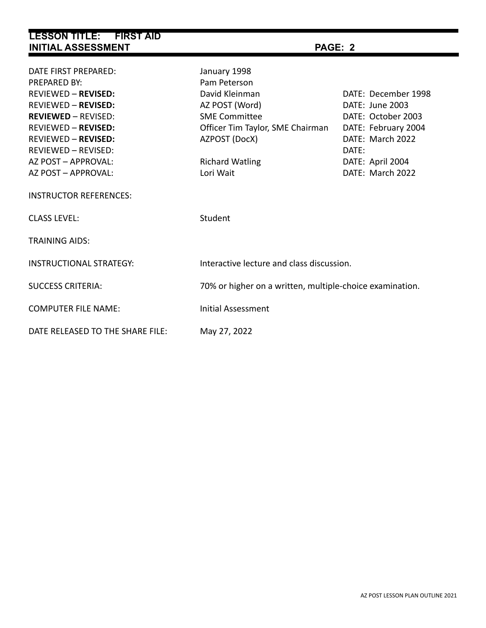# **LESSON TITLE: FIRST AID INITIAL ASSESSMENT PAGE: 2**

| DATE FIRST PREPARED:<br>PREPARED BY:<br><b>REVIEWED - REVISED:</b><br><b>REVIEWED - REVISED:</b><br><b>REVIEWED - REVISED:</b><br><b>REVIEWED - REVISED:</b><br><b>REVIEWED - REVISED:</b><br>REVIEWED - REVISED:<br>AZ POST - APPROVAL:<br>AZ POST - APPROVAL:<br><b>INSTRUCTOR REFERENCES:</b> | January 1998<br>Pam Peterson<br>David Kleinman<br>AZ POST (Word)<br><b>SME Committee</b><br>Officer Tim Taylor, SME Chairman<br>AZPOST (DocX)<br><b>Richard Watling</b><br>Lori Wait | DATE: December 1998<br>DATE: June 2003<br>DATE: October 2003<br>DATE: February 2004<br>DATE: March 2022<br>DATE:<br>DATE: April 2004<br>DATE: March 2022 |
|--------------------------------------------------------------------------------------------------------------------------------------------------------------------------------------------------------------------------------------------------------------------------------------------------|--------------------------------------------------------------------------------------------------------------------------------------------------------------------------------------|----------------------------------------------------------------------------------------------------------------------------------------------------------|
| <b>CLASS LEVEL:</b>                                                                                                                                                                                                                                                                              | Student                                                                                                                                                                              |                                                                                                                                                          |
| <b>TRAINING AIDS:</b>                                                                                                                                                                                                                                                                            |                                                                                                                                                                                      |                                                                                                                                                          |
| <b>INSTRUCTIONAL STRATEGY:</b>                                                                                                                                                                                                                                                                   | Interactive lecture and class discussion.                                                                                                                                            |                                                                                                                                                          |
| <b>SUCCESS CRITERIA:</b>                                                                                                                                                                                                                                                                         | 70% or higher on a written, multiple-choice examination.                                                                                                                             |                                                                                                                                                          |
| <b>COMPUTER FILE NAME:</b>                                                                                                                                                                                                                                                                       | <b>Initial Assessment</b>                                                                                                                                                            |                                                                                                                                                          |
| DATE RELEASED TO THE SHARE FILE:                                                                                                                                                                                                                                                                 | May 27, 2022                                                                                                                                                                         |                                                                                                                                                          |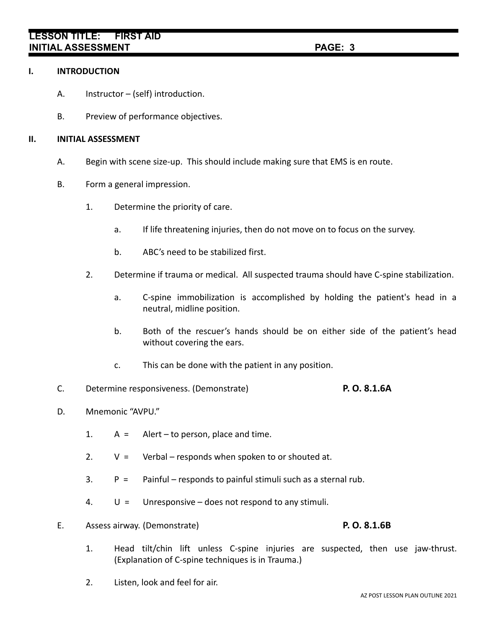# **LESSON TITLE: FIRST AID INITIAL ASSESSMENT PAGE: 3**

### **I. INTRODUCTION**

- A. Instructor (self) introduction.
- B. Preview of performance objectives.

### **II. INITIAL ASSESSMENT**

- A. Begin with scene size-up. This should include making sure that EMS is en route.
- B. Form a general impression.
	- 1. Determine the priority of care.
		- a. If life threatening injuries, then do not move on to focus on the survey.
		- b. ABC's need to be stabilized first.
	- 2. Determine if trauma or medical. All suspected trauma should have C-spine stabilization.
		- a. C-spine immobilization is accomplished by holding the patient's head in a neutral, midline position.
		- b. Both of the rescuer's hands should be on either side of the patient's head without covering the ears.
		- c. This can be done with the patient in any position.
- C. Determine responsiveness. (Demonstrate) **P. O. 8.1.6A**
- D. Mnemonic "AVPU."
	- 1.  $A =$  Alert to person, place and time.
	- 2.  $V = V$ erbal responds when spoken to or shouted at.
	- $3.$  P = Painful responds to painful stimuli such as a sternal rub.
	- 4.  $U =$  Unresponsive does not respond to any stimuli.
- E. Assess airway. (Demonstrate) **P. O. 8.1.6B**
	- 1. Head tilt/chin lift unless C-spine injuries are suspected, then use jaw-thrust. (Explanation of C-spine techniques is in Trauma.)
	- 2. Listen, look and feel for air.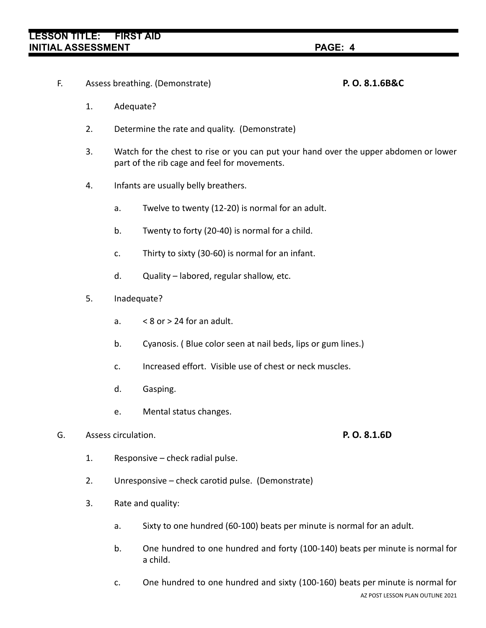# **LESSON TITLE: FIRST AID INITIAL ASSESSMENT PAGE: 4**

### F. Assess breathing. (Demonstrate) **P. O. 8.1.6B&C**

- 1. Adequate?
- 2. Determine the rate and quality. (Demonstrate)
- 3. Watch for the chest to rise or you can put your hand over the upper abdomen or lower part of the rib cage and feel for movements.
- 4. Infants are usually belly breathers.
	- a. Twelve to twenty (12-20) is normal for an adult.
	- b. Twenty to forty (20-40) is normal for a child.
	- c. Thirty to sixty (30-60) is normal for an infant.
	- d. Quality labored, regular shallow, etc.
- 5. Inadequate?
	- a.  $< 8$  or  $> 24$  for an adult.
	- b. Cyanosis. ( Blue color seen at nail beds, lips or gum lines.)
	- c. Increased effort. Visible use of chest or neck muscles.
	- d. Gasping.
	- e. Mental status changes.

# G. Assess circulation. **P. O. 8.1.6D**

- 1. Responsive check radial pulse.
- 2. Unresponsive check carotid pulse. (Demonstrate)
- 3. Rate and quality:
	- a. Sixty to one hundred (60-100) beats per minute is normal for an adult.
	- b. One hundred to one hundred and forty (100-140) beats per minute is normal for a child.
	- c. One hundred to one hundred and sixty (100-160) beats per minute is normal for AZ POST LESSON PLAN OUTLINE 2021